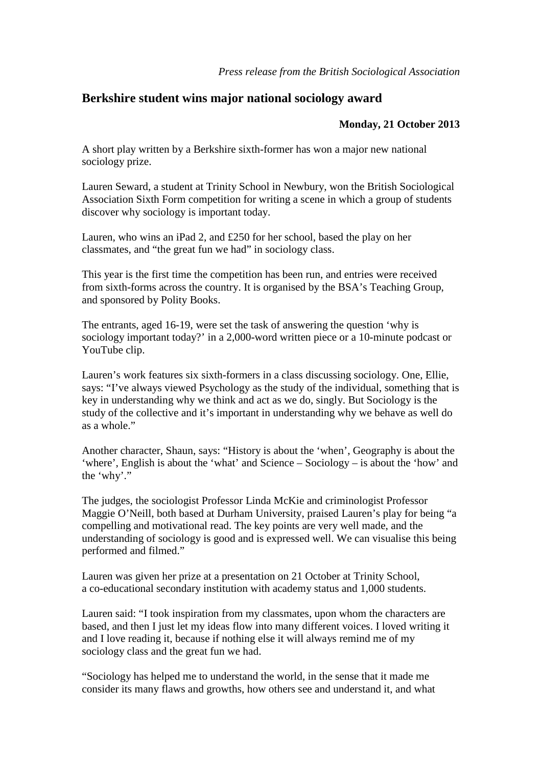## **Berkshire student wins major national sociology award**

## **Monday, 21 October 2013**

A short play written by a Berkshire sixth-former has won a major new national sociology prize.

Lauren Seward, a student at Trinity School in Newbury, won the British Sociological Association Sixth Form competition for writing a scene in which a group of students discover why sociology is important today.

Lauren, who wins an iPad 2, and £250 for her school, based the play on her classmates, and "the great fun we had" in sociology class.

This year is the first time the competition has been run, and entries were received from sixth-forms across the country. It is organised by the BSA's Teaching Group, and sponsored by Polity Books.

The entrants, aged 16-19, were set the task of answering the question 'why is sociology important today?' in a 2,000-word written piece or a 10-minute podcast or YouTube clip.

Lauren's work features six sixth-formers in a class discussing sociology. One, Ellie, says: "I've always viewed Psychology as the study of the individual, something that is key in understanding why we think and act as we do, singly. But Sociology is the study of the collective and it's important in understanding why we behave as well do as a whole."

Another character, Shaun, says: "History is about the 'when', Geography is about the 'where', English is about the 'what' and Science – Sociology – is about the 'how' and the 'why'."

The judges, the sociologist Professor Linda McKie and criminologist Professor Maggie O'Neill, both based at Durham University, praised Lauren's play for being "a compelling and motivational read. The key points are very well made, and the understanding of sociology is good and is expressed well. We can visualise this being performed and filmed."

Lauren was given her prize at a presentation on 21 October at Trinity School, a co-educational secondary institution with academy status and 1,000 students.

Lauren said: "I took inspiration from my classmates, upon whom the characters are based, and then I just let my ideas flow into many different voices. I loved writing it and I love reading it, because if nothing else it will always remind me of my sociology class and the great fun we had.

"Sociology has helped me to understand the world, in the sense that it made me consider its many flaws and growths, how others see and understand it, and what